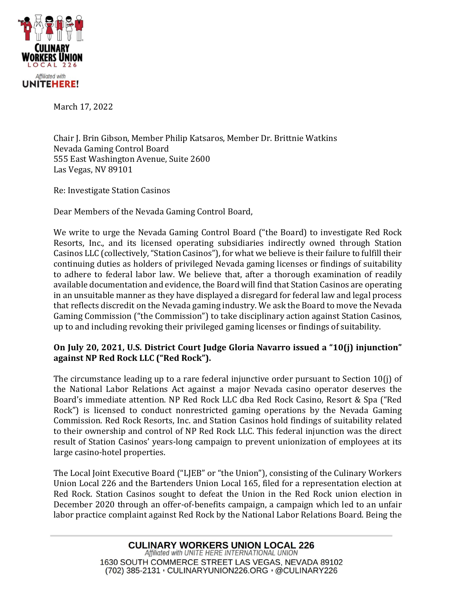

March 17, 2022

Chair J. Brin Gibson, Member Philip Katsaros, Member Dr. Brittnie Watkins Nevada Gaming Control Board 555 East Washington Avenue, Suite 2600 Las Vegas, NV 89101

Re: Investigate Station Casinos

Dear Members of the Nevada Gaming Control Board,

We write to urge the Nevada Gaming Control Board ("the Board) to investigate Red Rock Resorts, Inc., and its licensed operating subsidiaries indirectly owned through Station Casinos LLC (collectively, "Station Casinos"), for what we believe is their failure to fulfill their continuing duties as holders of privileged Nevada gaming licenses or findings of suitability to adhere to federal labor law. We believe that, after a thorough examination of readily available documentation and evidence, the Board will find that Station Casinos are operating in an unsuitable manner as they have displayed a disregard for federal law and legal process that reflects discredit on the Nevada gaming industry. We ask the Board to move the Nevada Gaming Commission ("the Commission") to take disciplinary action against Station Casinos, up to and including revoking their privileged gaming licenses or findings of suitability.

## **On July 20, 2021, U.S. District Court Judge Gloria Navarro issued a "10(j) injunction" against NP Red Rock LLC ("Red Rock").**

The circumstance leading up to a rare federal injunctive order pursuant to Section 10(j) of the National Labor Relations Act against a major Nevada casino operator deserves the Board's immediate attention. NP Red Rock LLC dba Red Rock Casino, Resort & Spa ("Red Rock") is licensed to conduct nonrestricted gaming operations by the Nevada Gaming Commission. Red Rock Resorts, Inc. and Station Casinos hold findings of suitability related to their ownership and control of NP Red Rock LLC. This federal injunction was the direct result of Station Casinos' years-long campaign to prevent unionization of employees at its large casino-hotel properties.

The Local Joint Executive Board ("LJEB" or "the Union"), consisting of the Culinary Workers Union Local 226 and the Bartenders Union Local 165, filed for a representation election at Red Rock. Station Casinos sought to defeat the Union in the Red Rock union election in December 2020 through an offer-of-benefits campaign, a campaign which led to an unfair labor practice complaint against Red Rock by the National Labor Relations Board. Being the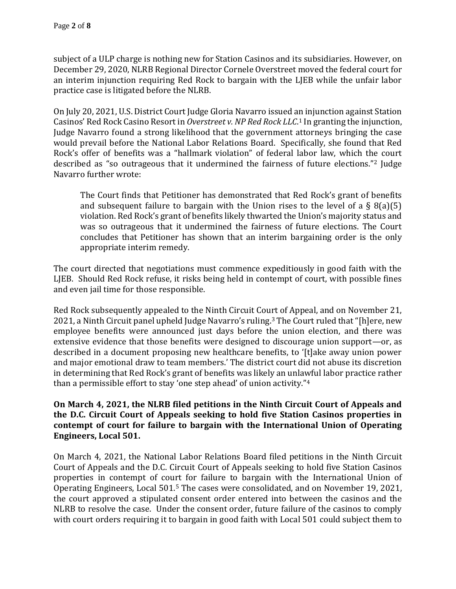subject of a ULP charge is nothing new for Station Casinos and its subsidiaries. However, on December 29, 2020, NLRB Regional Director Cornele Overstreet moved the federal court for an interim injunction requiring Red Rock to bargain with the LJEB while the unfair labor practice case is litigated before the NLRB.

On July 20, 2021, U.S. District Court Judge Gloria Navarro issued an injunction against Station Casinos' Red Rock Casino Resort in *Overstreet v. NP Red Rock LLC*. <sup>1</sup> In granting the injunction, Judge Navarro found a strong likelihood that the government attorneys bringing the case would prevail before the National Labor Relations Board. Specifically, she found that Red Rock's offer of benefits was a "hallmark violation" of federal labor law, which the court described as "so outrageous that it undermined the fairness of future elections."<sup>2</sup> Judge Navarro further wrote:

The Court finds that Petitioner has demonstrated that Red Rock's grant of benefits and subsequent failure to bargain with the Union rises to the level of a  $\S$  8(a)(5) violation. Red Rock's grant of benefits likely thwarted the Union's majority status and was so outrageous that it undermined the fairness of future elections. The Court concludes that Petitioner has shown that an interim bargaining order is the only appropriate interim remedy.

The court directed that negotiations must commence expeditiously in good faith with the LJEB. Should Red Rock refuse, it risks being held in contempt of court, with possible fines and even jail time for those responsible.

Red Rock subsequently appealed to the Ninth Circuit Court of Appeal, and on November 21, 2021, a Ninth Circuit panel upheld Judge Navarro's ruling.<sup>3</sup> The Court ruled that "[h]ere, new employee benefits were announced just days before the union election, and there was extensive evidence that those benefits were designed to discourage union support—or, as described in a document proposing new healthcare benefits, to '[t]ake away union power and major emotional draw to team members.' The district court did not abuse its discretion in determining that Red Rock's grant of benefits was likely an unlawful labor practice rather than a permissible effort to stay 'one step ahead' of union activity."<sup>4</sup>

## **On March 4, 2021, the NLRB filed petitions in the Ninth Circuit Court of Appeals and the D.C. Circuit Court of Appeals seeking to hold five Station Casinos properties in contempt of court for failure to bargain with the International Union of Operating Engineers, Local 501.**

On March 4, 2021, the National Labor Relations Board filed petitions in the Ninth Circuit Court of Appeals and the D.C. Circuit Court of Appeals seeking to hold five Station Casinos properties in contempt of court for failure to bargain with the International Union of Operating Engineers, Local 501.<sup>5</sup> The cases were consolidated, and on November 19, 2021, the court approved a stipulated consent order entered into between the casinos and the NLRB to resolve the case. Under the consent order, future failure of the casinos to comply with court orders requiring it to bargain in good faith with Local 501 could subject them to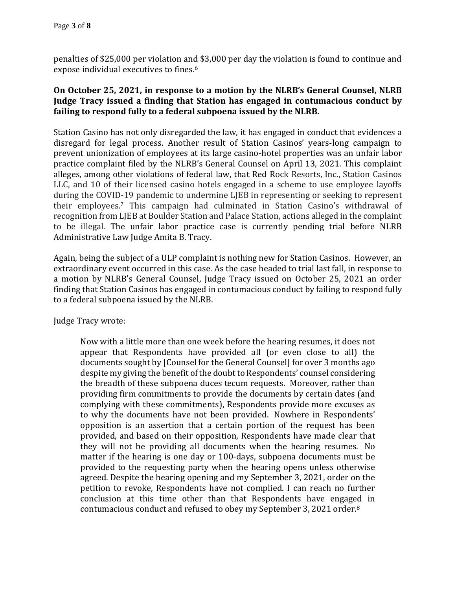penalties of \$25,000 per violation and \$3,000 per day the violation is found to continue and expose individual executives to fines.<sup>6</sup>

## **On October 25, 2021, in response to a motion by the NLRB's General Counsel, NLRB Judge Tracy issued a finding that Station has engaged in contumacious conduct by failing to respond fully to a federal subpoena issued by the NLRB.**

Station Casino has not only disregarded the law, it has engaged in conduct that evidences a disregard for legal process. Another result of Station Casinos' years-long campaign to prevent unionization of employees at its large casino-hotel properties was an unfair labor practice complaint filed by the NLRB's General Counsel on April 13, 2021. This complaint alleges, among other violations of federal law, that Red Rock Resorts, Inc., Station Casinos LLC, and 10 of their licensed casino hotels engaged in a scheme to use employee layoffs during the COVID-19 pandemic to undermine LJEB in representing or seeking to represent their employees.<sup>7</sup> This campaign had culminated in Station Casino's withdrawal of recognition from LJEB at Boulder Station and Palace Station, actions alleged in the complaint to be illegal. The unfair labor practice case is currently pending trial before NLRB Administrative Law Judge Amita B. Tracy.

Again, being the subject of a ULP complaint is nothing new for Station Casinos. However, an extraordinary event occurred in this case. As the case headed to trial last fall, in response to a motion by NLRB's General Counsel, Judge Tracy issued on October 25, 2021 an order finding that Station Casinos has engaged in contumacious conduct by failing to respond fully to a federal subpoena issued by the NLRB.

Judge Tracy wrote:

Now with a little more than one week before the hearing resumes, it does not appear that Respondents have provided all (or even close to all) the documents sought by [Counsel for the General Counsel] for over 3 months ago despite my giving the benefit of the doubt to Respondents' counsel considering the breadth of these subpoena duces tecum requests. Moreover, rather than providing firm commitments to provide the documents by certain dates (and complying with these commitments), Respondents provide more excuses as to why the documents have not been provided. Nowhere in Respondents' opposition is an assertion that a certain portion of the request has been provided, and based on their opposition, Respondents have made clear that they will not be providing all documents when the hearing resumes. No matter if the hearing is one day or 100-days, subpoena documents must be provided to the requesting party when the hearing opens unless otherwise agreed. Despite the hearing opening and my September 3, 2021, order on the petition to revoke, Respondents have not complied. I can reach no further conclusion at this time other than that Respondents have engaged in contumacious conduct and refused to obey my September 3, 2021 order.<sup>8</sup>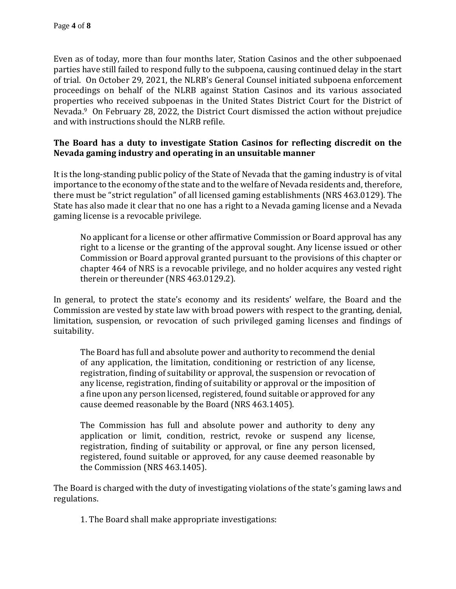Even as of today, more than four months later, Station Casinos and the other subpoenaed parties have still failed to respond fully to the subpoena, causing continued delay in the start of trial. On October 29, 2021, the NLRB's General Counsel initiated subpoena enforcement proceedings on behalf of the NLRB against Station Casinos and its various associated properties who received subpoenas in the United States District Court for the District of Nevada.9 On February 28, 2022, the District Court dismissed the action without prejudice and with instructions should the NLRB refile.

## **The Board has a duty to investigate Station Casinos for reflecting discredit on the Nevada gaming industry and operating in an unsuitable manner**

It is the long-standing public policy of the State of Nevada that the gaming industry is of vital importance to the economy of the state and to the welfare of Nevada residents and, therefore, there must be "strict regulation" of all licensed gaming establishments (NRS 463.0129). The State has also made it clear that no one has a right to a Nevada gaming license and a Nevada gaming license is a revocable privilege.

No applicant for a license or other affirmative Commission or Board approval has any right to a license or the granting of the approval sought. Any license issued or other Commission or Board approval granted pursuant to the provisions of this chapter or chapter 464 of NRS is a revocable privilege, and no holder acquires any vested right therein or thereunder (NRS 463.0129.2).

In general, to protect the state's economy and its residents' welfare, the Board and the Commission are vested by state law with broad powers with respect to the granting, denial, limitation, suspension, or revocation of such privileged gaming licenses and findings of suitability.

The Board has full and absolute power and authority to recommend the denial of any application, the limitation, conditioning or restriction of any license, registration, finding of suitability or approval, the suspension or revocation of any license, registration, finding of suitability or approval or the imposition of a fine upon any person licensed, registered, found suitable or approved for any cause deemed reasonable by the Board (NRS 463.1405).

The Commission has full and absolute power and authority to deny any application or limit, condition, restrict, revoke or suspend any license, registration, finding of suitability or approval, or fine any person licensed, registered, found suitable or approved, for any cause deemed reasonable by the Commission (NRS 463.1405).

The Board is charged with the duty of investigating violations of the state's gaming laws and regulations.

1. The Board shall make appropriate investigations: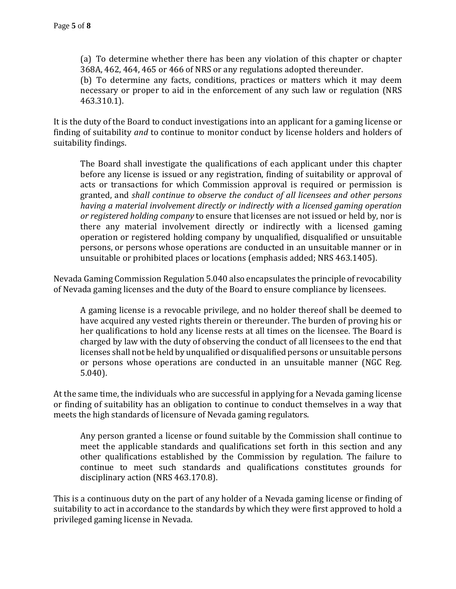(a) To determine whether there has been any violation of this chapter or chapter 368A, 462, 464, 465 or 466 of NRS or any regulations adopted thereunder.

(b) To determine any facts, conditions, practices or matters which it may deem necessary or proper to aid in the enforcement of any such law or regulation (NRS 463.310.1).

It is the duty of the Board to conduct investigations into an applicant for a gaming license or finding of suitability *and* to continue to monitor conduct by license holders and holders of suitability findings.

The Board shall investigate the qualifications of each applicant under this chapter before any license is issued or any registration, finding of suitability or approval of acts or transactions for which Commission approval is required or permission is granted, and *shall continue to observe the conduct of all licensees and other persons having a material involvement directly or indirectly with a licensed gaming operation or registered holding company* to ensure that licenses are not issued or held by, nor is there any material involvement directly or indirectly with a licensed gaming operation or registered holding company by unqualified, disqualified or unsuitable persons, or persons whose operations are conducted in an unsuitable manner or in unsuitable or prohibited places or locations (emphasis added; NRS 463.1405).

Nevada Gaming Commission Regulation 5.040 also encapsulates the principle of revocability of Nevada gaming licenses and the duty of the Board to ensure compliance by licensees.

A gaming license is a revocable privilege, and no holder thereof shall be deemed to have acquired any vested rights therein or thereunder. The burden of proving his or her qualifications to hold any license rests at all times on the licensee. The Board is charged by law with the duty of observing the conduct of all licensees to the end that licenses shall not be held by unqualified or disqualified persons or unsuitable persons or persons whose operations are conducted in an unsuitable manner (NGC Reg. 5.040).

At the same time, the individuals who are successful in applying for a Nevada gaming license or finding of suitability has an obligation to continue to conduct themselves in a way that meets the high standards of licensure of Nevada gaming regulators.

Any person granted a license or found suitable by the Commission shall continue to meet the applicable standards and qualifications set forth in this section and any other qualifications established by the Commission by regulation. The failure to continue to meet such standards and qualifications constitutes grounds for disciplinary action (NRS 463.170.8).

This is a continuous duty on the part of any holder of a Nevada gaming license or finding of suitability to act in accordance to the standards by which they were first approved to hold a privileged gaming license in Nevada.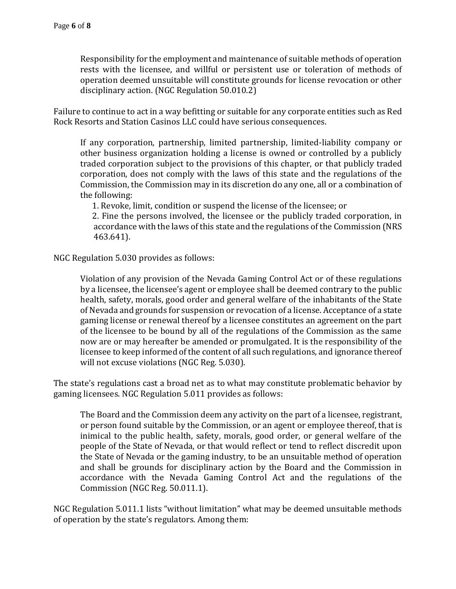Responsibility for the employment and maintenance of suitable methods of operation rests with the licensee, and willful or persistent use or toleration of methods of operation deemed unsuitable will constitute grounds for license revocation or other disciplinary action. (NGC Regulation 50.010.2)

Failure to continue to act in a way befitting or suitable for any corporate entities such as Red Rock Resorts and Station Casinos LLC could have serious consequences.

If any corporation, partnership, limited partnership, limited-liability company or other business organization holding a license is owned or controlled by a publicly traded corporation subject to the provisions of this chapter, or that publicly traded corporation, does not comply with the laws of this state and the regulations of the Commission, the Commission may in its discretion do any one, all or a combination of the following:

1. Revoke, limit, condition or suspend the license of the licensee; or

 2. Fine the persons involved, the licensee or the publicly traded corporation, in accordance with the laws of this state and the regulations of the Commission (NRS 463.641).

NGC Regulation 5.030 provides as follows:

Violation of any provision of the Nevada Gaming Control Act or of these regulations by a licensee, the licensee's agent or employee shall be deemed contrary to the public health, safety, morals, good order and general welfare of the inhabitants of the State of Nevada and grounds for suspension or revocation of a license. Acceptance of a state gaming license or renewal thereof by a licensee constitutes an agreement on the part of the licensee to be bound by all of the regulations of the Commission as the same now are or may hereafter be amended or promulgated. It is the responsibility of the licensee to keep informed of the content of all such regulations, and ignorance thereof will not excuse violations (NGC Reg. 5.030).

The state's regulations cast a broad net as to what may constitute problematic behavior by gaming licensees. NGC Regulation 5.011 provides as follows:

The Board and the Commission deem any activity on the part of a licensee, registrant, or person found suitable by the Commission, or an agent or employee thereof, that is inimical to the public health, safety, morals, good order, or general welfare of the people of the State of Nevada, or that would reflect or tend to reflect discredit upon the State of Nevada or the gaming industry, to be an unsuitable method of operation and shall be grounds for disciplinary action by the Board and the Commission in accordance with the Nevada Gaming Control Act and the regulations of the Commission (NGC Reg. 50.011.1).

NGC Regulation 5.011.1 lists "without limitation" what may be deemed unsuitable methods of operation by the state's regulators. Among them: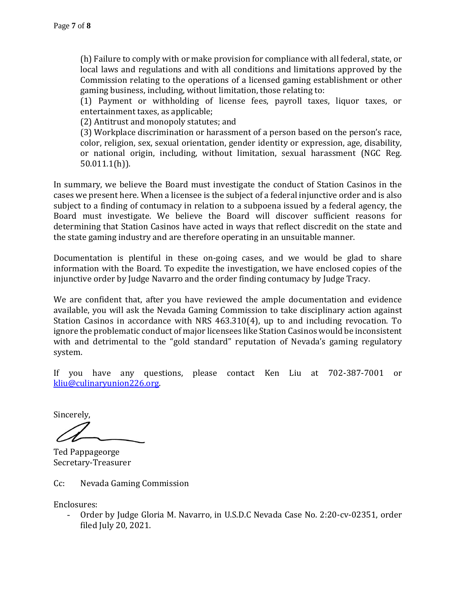(h) Failure to comply with or make provision for compliance with all federal, state, or local laws and regulations and with all conditions and limitations approved by the Commission relating to the operations of a licensed gaming establishment or other gaming business, including, without limitation, those relating to:

(1) Payment or withholding of license fees, payroll taxes, liquor taxes, or entertainment taxes, as applicable;

(2) Antitrust and monopoly statutes; and

(3) Workplace discrimination or harassment of a person based on the person's race, color, religion, sex, sexual orientation, gender identity or expression, age, disability, or national origin, including, without limitation, sexual harassment (NGC Reg. 50.011.1(h)).

In summary, we believe the Board must investigate the conduct of Station Casinos in the cases we present here. When a licensee is the subject of a federal injunctive order and is also subject to a finding of contumacy in relation to a subpoena issued by a federal agency, the Board must investigate. We believe the Board will discover sufficient reasons for determining that Station Casinos have acted in ways that reflect discredit on the state and the state gaming industry and are therefore operating in an unsuitable manner.

Documentation is plentiful in these on-going cases, and we would be glad to share information with the Board. To expedite the investigation, we have enclosed copies of the injunctive order by Judge Navarro and the order finding contumacy by Judge Tracy.

We are confident that, after you have reviewed the ample documentation and evidence available, you will ask the Nevada Gaming Commission to take disciplinary action against Station Casinos in accordance with NRS 463.310(4), up to and including revocation. To ignore the problematic conduct of major licensees like Station Casinos would be inconsistent with and detrimental to the "gold standard" reputation of Nevada's gaming regulatory system.

If you have any questions, please contact Ken Liu at 702-387-7001 or [kliu@culinaryunion226.org.](mailto:kliu@culinaryunion226.org)

Sincerely,

Ted Pappageorge Secretary-Treasurer

Cc: Nevada Gaming Commission

Enclosures:

- Order by Judge Gloria M. Navarro, in U.S.D.C Nevada Case No. 2:20-cv-02351, order filed July 20, 2021.